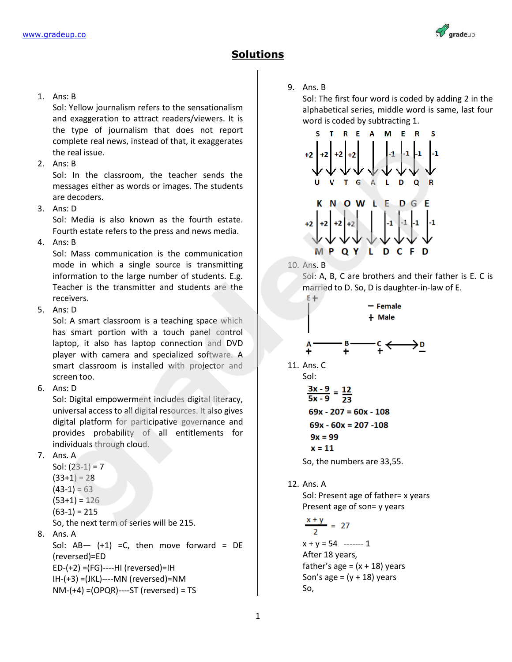

## **Solutions**

1. Ans: B

Sol: Yellow journalism refers to the sensationalism and exaggeration to attract readers/viewers. It is the type of journalism that does not report complete real news, instead of that, it exaggerates the real issue.

2. Ans: B

Sol: In the classroom, the teacher sends the messages either as words or images. The students are decoders.

3. Ans: D

Sol: Media is also known as the fourth estate. Fourth estate refers to the press and news media.

4. Ans: B

Sol: Mass communication is the communication mode in which a single source is transmitting information to the large number of students. E.g. Teacher is the transmitter and students are the receivers.

5. Ans: D

Sol: A smart classroom is a teaching space which has smart portion with a touch panel control laptop, it also has laptop connection and DVD player with camera and specialized software. A smart classroom is installed with projector and screen too.

6. Ans: D

Sol: Digital empowerment includes digital literacy, universal access to all digital resources. It also gives digital platform for participative governance and provides probability of all entitlements for individuals through cloud.

7. Ans. A

Sol:  $(23-1) = 7$  $(33+1) = 28$  $(43-1) = 63$  $(53+1) = 126$  $(63-1) = 215$ 

So, the next term of series will be 215.

8. Ans. A

Sol:  $AB - (+1) = C$ , then move forward = DE (reversed)=ED ED-(+2) =(FG)----HI (reversed)=IH IH-(+3) =(JKL)----MN (reversed)=NM NM-(+4) =(OPQR)----ST (reversed) = TS

9. Ans. B

Sol: The first four word is coded by adding 2 in the alphabetical series, middle word is same, last four word is coded by subtracting 1.



12. Ans. A

Sol: Present age of father= x years Present age of son= y years

$$
\frac{x+y}{2} = 27
$$

 $x + y = 54$  ------- 1 After 18 years, father's age =  $(x + 18)$  years Son's age =  $(y + 18)$  years So,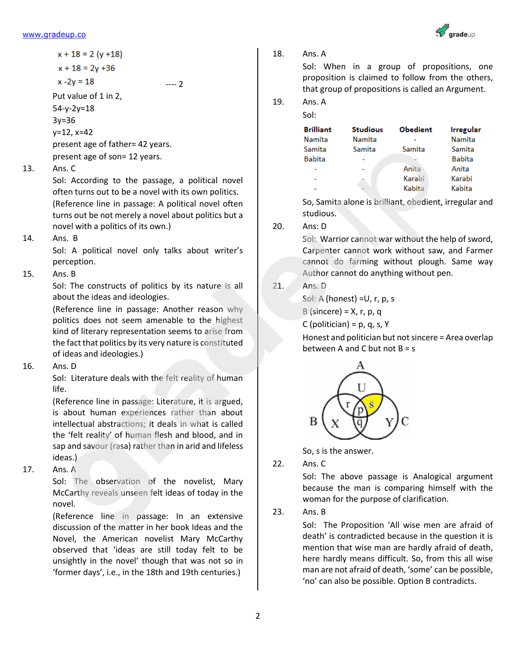$x + 18 = 2 (y + 18)$  $x + 18 = 2y + 36$  $x - 2y = 18$  ---- 2 Put value of 1 in 2, 54-y-2y=18 3y=36 y=12, x=42

present age of father= 42 years. present age of son= 12 years.

13. Ans. C

Sol: According to the passage, a political novel often turns out to be a novel with its own politics. (Reference line in passage: A political novel often turns out be not merely a novel about politics but a novel with a politics of its own.)

14. Ans. B

Sol: A political novel only talks about writer's perception.

15. Ans. B

Sol: The constructs of politics by its nature is all about the ideas and ideologies.

(Reference line in passage: Another reason why politics does not seem amenable to the highest kind of literary representation seems to arise from the fact that politics by its very nature is constituted of ideas and ideologies.)

16. Ans. D

Sol: Literature deals with the felt reality of human life.

(Reference line in passage: Literature, it is argued, is about human experiences rather than about intellectual abstractions; it deals in what is called the 'felt reality' of human flesh and blood, and in sap and savour (rasa) rather than in arid and lifeless ideas.)

17. Ans. A

Sol: The observation of the novelist, Mary McCarthy reveals unseen felt ideas of today in the novel.

(Reference line in passage: In an extensive discussion of the matter in her book Ideas and the Novel, the American novelist Mary McCarthy observed that 'ideas are still today felt to be unsightly in the novel' though that was not so in 'former days', i.e., in the 18th and 19th centuries.)



18. Ans. A

Sol: When in a group of propositions, one proposition is claimed to follow from the others, that group of propositions is called an Argument.

19. Ans. A

Sol:

| <b>Brilliant</b> | <b>Studious</b> | <b>Obedient</b> | <b>Irregular</b> |
|------------------|-----------------|-----------------|------------------|
| Namita           | Namita          |                 | Namita           |
| Samita           | Samita          | Samita          | Samita           |
| <b>Babita</b>    |                 |                 | <b>Babita</b>    |
|                  |                 | Anita           | Anita            |
|                  |                 | Karabi          | Karabi           |
|                  |                 | Kabita          | Kabita           |

So, Samita alone is brilliant, obedient, irregular and studious.

## 20. Ans: D

Sol: Warrior cannot war without the help of sword, Carpenter cannot work without saw, and Farmer cannot do farming without plough. Same way Author cannot do anything without pen.

21. Ans. D

Sol: A (honest) = U, r, p, s

 $B$  (sincere) =  $X, r, p, q$ 

 $C$  (politician) = p, q, s, Y

Honest and politician but not sincere = Area overlap between A and C but not  $B = s$ 



So, s is the answer.

22. Ans. C

Sol: The above passage is Analogical argument because the man is comparing himself with the woman for the purpose of clarification.

23. Ans. B

Sol: The Proposition 'All wise men are afraid of death' is contradicted because in the question it is mention that wise man are hardly afraid of death, here hardly means difficult. So, from this all wise man are not afraid of death, 'some' can be possible, 'no' can also be possible. Option B contradicts.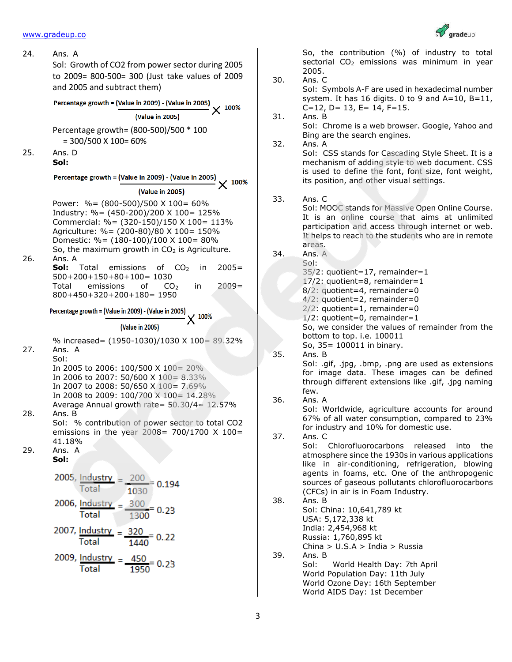[www.gradeup.co](http://www.gradeup.com/)



24. Ans. A  
\nSol: Growth of CO2 from power sector during 2005  
\nto 2009= 800-500= 300 (Just take values of 2009  
\nand 2005 and subtract them)  
\nPercentage growth = (Value in 2009) - (Value in 2005)  
\nPercentage growth = (800-500)/500 \* 100  
\n= 300/500 X 100= 60%  
\nAns. D  
\nSol:  
\nPercentage growth = (Value in 2009) - (Value in 2005)  
\nSol:  
\nPercentage growth = (Value in 2009) - (Value in 2005)  
\n  
\nPower: %= (800-500)/500 X 100= 60%  
\nIndustry: %= (800-500)/200 X 100= 125%  
\nCommental: %= (320-150)/150 X 100= 113%  
\nAgriculture: %= (180-100)/100 X 100= 103%  
\nDonestic: %= (180-100)/100 X 100= 103%  
\nSo, the maximum growth in CO<sub>2</sub> is Agriculture.  
\nSol: Total emissions of CO<sub>2</sub> in 2005=  
\n500+200+150+80+100= 1030  
\nTotal earnings of CO<sub>2</sub> in 2009=  
\n800+450+320+200+180= 1950  
\nPercentage growth = (Value in 2005)  
\n
$$
[Value in 2005]
$$
  
\n
$$
[Value in 2005]
$$
  
\n
$$
[Value in 2005]
$$
  
\n
$$
[Value in 2005]
$$
  
\n
$$
[Value in 2005]
$$
  
\n
$$
[Value in 2005]
$$
  
\n
$$
[Value in 2005]
$$
  
\n
$$
[Value in 2005]
$$
  
\n
$$
[Value in 2005]
$$
  
\n
$$
[Value in 2005]
$$
  
\n
$$
[Value in 2005]
$$
  
\n
$$
[Value in 2005]
$$
  
\n
$$
[Value in 2
$$

So, the contribution (%) of industry to total sectorial  $CO<sub>2</sub>$  emissions was minimum in year 2005.

- 30. Ans. C Sol: Symbols A-F are used in hexadecimal number system. It has 16 digits. 0 to 9 and  $A=10$ ,  $B=11$ ,  $C=12$ ,  $D=13$ ,  $E=14$ ,  $F=15$ .
- 31. Ans. B Sol: Chrome is a web browser. Google, Yahoo and Bing are the search engines. 32. Ans. A
	- Sol: CSS stands for Cascading Style Sheet. It is a mechanism of adding style to web document. CSS is used to define the font, font size, font weight, its position, and other visual settings.
- 33. Ans. C

Sol: MOOC stands for Massive Open Online Course. It is an online course that aims at unlimited participation and access through internet or web. It helps to reach to the students who are in remote areas.

34. Ans. A  $C_2$ 

| ◡◡ ・                                             |
|--------------------------------------------------|
| $35/2$ : quotient=17, remainder=1                |
| 17/2: quotient=8, remainder=1                    |
| 8/2: quotient=4, remainder=0                     |
| $4/2$ : quotient=2, remainder=0                  |
| $2/2$ : quotient=1, remainder=0                  |
| $1/2$ : quotient=0, remainder=1                  |
| So, we consider the values of remainder from the |
| bottom to top. i.e. 100011                       |
| So, 35= 100011 in binary.                        |
|                                                  |

35. Ans. B

Sol: .gif, .jpg, .bmp, .png are used as extensions for image data. These images can be defined through different extensions like .gif, .jpg naming few.

36. Ans. A

Sol: Worldwide, agriculture accounts for around 67% of all water consumption, compared to 23% for industry and 10% for domestic use.

37. Ans. C

Sol: Chlorofluorocarbons released into the atmosphere since the 1930s in various applications like in air-conditioning, refrigeration, blowing agents in foams, etc. One of the anthropogenic sources of gaseous pollutants chlorofluorocarbons (CFCs) in air is in Foam Industry.

38. Ans. B

Sol: China: 10,641,789 kt USA: 5,172,338 kt India: 2,454,968 kt Russia: 1,760,895 kt

China > U.S.A > India > Russia

39. Ans. B

Sol: World Health Day: 7th April World Population Day: 11th July World Ozone Day: 16th September World AIDS Day: 1st December